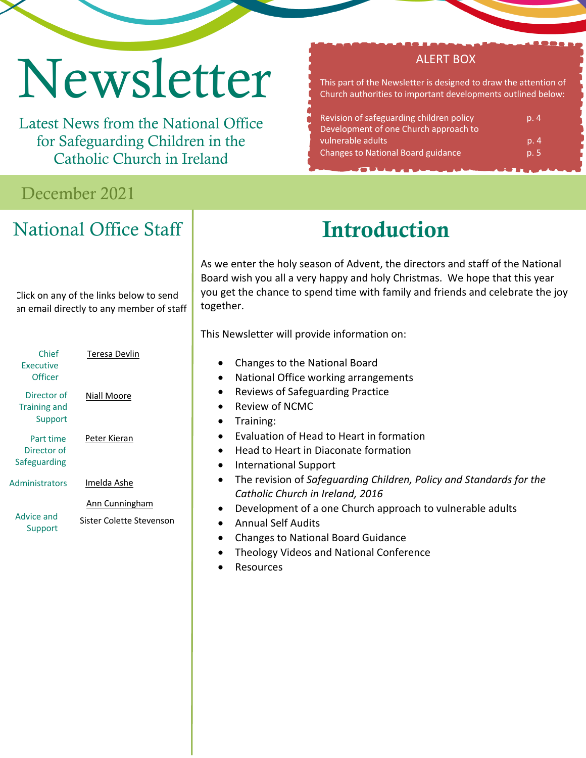# Newsletter

Latest News from the National Office for Safeguarding Children in the Catholic Church in Ireland

## December 2021

# National Office Staff

#### Click on any of the links below to send an email directly to any member of staff

| Director of<br>Niall Moore<br><b>Training and</b><br>Support<br>Peter Kieran<br>Part time<br>Director of<br>Safeguarding<br>Administrators<br>Imelda Ashe<br>Ann Cunningham<br>Advice and<br>Support | Chief<br><b>Executive</b><br>Officer | Teresa Devlin            |
|------------------------------------------------------------------------------------------------------------------------------------------------------------------------------------------------------|--------------------------------------|--------------------------|
|                                                                                                                                                                                                      |                                      |                          |
|                                                                                                                                                                                                      |                                      |                          |
|                                                                                                                                                                                                      |                                      |                          |
|                                                                                                                                                                                                      |                                      | Sister Colette Stevenson |

Introduction

As we enter the holy season of Advent, the directors and staff of the National Board wish you all a very happy and holy Christmas. We hope that this year you get the chance to spend time with family and friends and celebrate the joy together.

This Newsletter will provide information on:

- Changes to the National Board
- National Office working arrangements
- Reviews of Safeguarding Practice
- Review of NCMC
- Training:
- Evaluation of Head to Heart in formation
- Head to Heart in Diaconate formation
- International Support
- The revision of *Safeguarding Children, Policy and Standards for the Catholic Church in Ireland, 2016*
- Development of a one Church approach to vulnerable adults
- Annual Self Audits
- Changes to National Board Guidance
- Theology Videos and National Conference
- **Resources**

#### ALERT BOX

This part of the Newsletter is designed to draw the attention of Church authorities to important developments outlined below:

| Revision of safeguarding children policy<br>Development of one Church approach to | p. 4 |
|-----------------------------------------------------------------------------------|------|
| vulnerable adults                                                                 | p.4  |
| <b>Changes to National Board guidance</b>                                         | p.5  |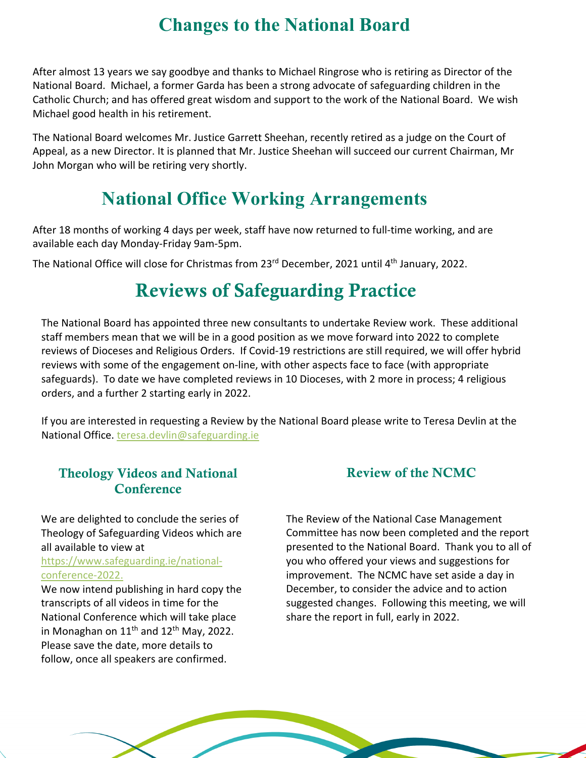## **Changes to the National Board**

After almost 13 years we say goodbye and thanks to Michael Ringrose who is retiring as Director of the National Board. Michael, a former Garda has been a strong advocate of safeguarding children in the Catholic Church; and has offered great wisdom and support to the work of the National Board. We wish Michael good health in his retirement.

The National Board welcomes Mr. Justice Garrett Sheehan, recently retired as a judge on the Court of Appeal, as a new Director. It is planned that Mr. Justice Sheehan will succeed our current Chairman, Mr John Morgan who will be retiring very shortly.

## **National Office Working Arrangements**

After 18 months of working 4 days per week, staff have now returned to full-time working, and are available each day Monday-Friday 9am-5pm.

The National Office will close for Christmas from 23<sup>rd</sup> December, 2021 until 4<sup>th</sup> January, 2022.

## Reviews of Safeguarding Practice

The National Board has appointed three new consultants to undertake Review work. These additional staff members mean that we will be in a good position as we move forward into 2022 to complete reviews of Dioceses and Religious Orders. If Covid-19 restrictions are still required, we will offer hybrid reviews with some of the engagement on-line, with other aspects face to face (with appropriate safeguards). To date we have completed reviews in 10 Dioceses, with 2 more in process; 4 religious orders, and a further 2 starting early in 2022.

If you are interested in requesting a Review by the National Board please write to Teresa Devlin at the National Office. teresa.devlin@safeguarding.ie

#### Theology Videos and National **Conference**

We are delighted to conclude the series of Theology of Safeguarding Videos which are all available to view at

https://www.safeguarding.ie/nationalconference-2022.

We now intend publishing in hard copy the transcripts of all videos in time for the National Conference which will take place in Monaghan on  $11<sup>th</sup>$  and  $12<sup>th</sup>$  May, 2022. Please save the date, more details to follow, once all speakers are confirmed.

#### Review of the NCMC

The Review of the National Case Management Committee has now been completed and the report presented to the National Board. Thank you to all of you who offered your views and suggestions for improvement. The NCMC have set aside a day in December, to consider the advice and to action suggested changes. Following this meeting, we will share the report in full, early in 2022.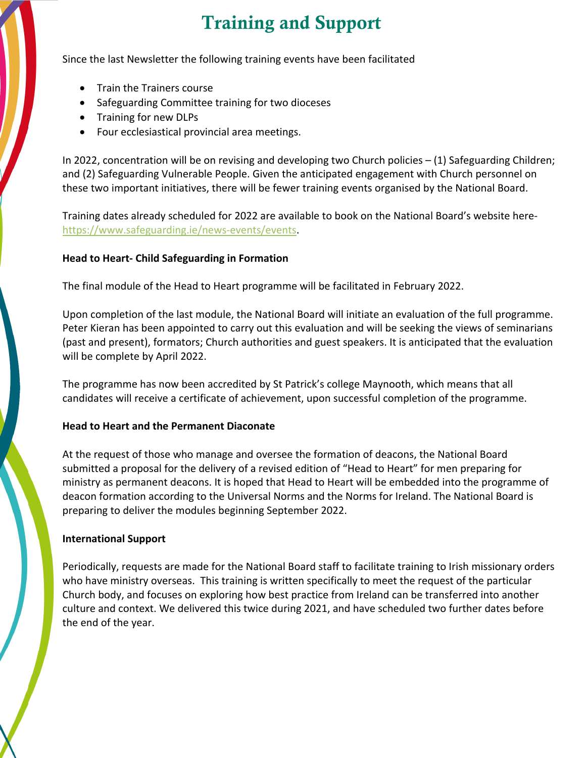# Training and Support

Since the last Newsletter the following training events have been facilitated

- Train the Trainers course
- Safeguarding Committee training for two dioceses
- Training for new DLPs
- Four ecclesiastical provincial area meetings.

In 2022, concentration will be on revising and developing two Church policies – (1) Safeguarding Children; and (2) Safeguarding Vulnerable People. Given the anticipated engagement with Church personnel on these two important initiatives, there will be fewer training events organised by the National Board.

Training dates already scheduled for 2022 are available to book on the National Board's website herehttps://www.safeguarding.ie/news-events/events.

#### **Head to Heart- Child Safeguarding in Formation**

The final module of the Head to Heart programme will be facilitated in February 2022.

Upon completion of the last module, the National Board will initiate an evaluation of the full programme. Peter Kieran has been appointed to carry out this evaluation and will be seeking the views of seminarians (past and present), formators; Church authorities and guest speakers. It is anticipated that the evaluation will be complete by April 2022.

The programme has now been accredited by St Patrick's college Maynooth, which means that all candidates will receive a certificate of achievement, upon successful completion of the programme.

#### **Head to Heart and the Permanent Diaconate**

At the request of those who manage and oversee the formation of deacons, the National Board submitted a proposal for the delivery of a revised edition of "Head to Heart" for men preparing for ministry as permanent deacons. It is hoped that Head to Heart will be embedded into the programme of deacon formation according to the Universal Norms and the Norms for Ireland. The National Board is preparing to deliver the modules beginning September 2022.

#### **International Support**

Periodically, requests are made for the National Board staff to facilitate training to Irish missionary orders who have ministry overseas. This training is written specifically to meet the request of the particular Church body, and focuses on exploring how best practice from Ireland can be transferred into another culture and context. We delivered this twice during 2021, and have scheduled two further dates before the end of the year.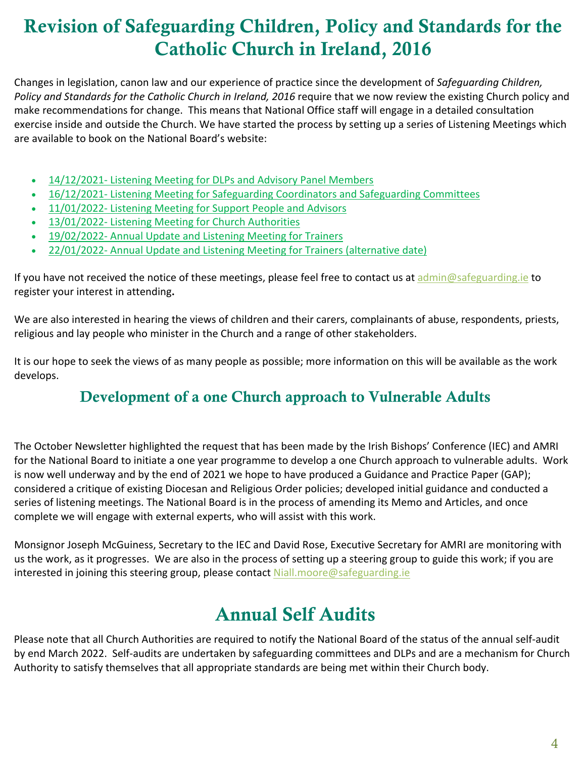# Revision of Safeguarding Children, Policy and Standards for the Catholic Church in Ireland, 2016

Changes in legislation, canon law and our experience of practice since the development of *Safeguarding Children, Policy and Standards for the Catholic Church in Ireland, 2016* require that we now review the existing Church policy and make recommendations for change. This means that National Office staff will engage in a detailed consultation exercise inside and outside the Church. We have started the process by setting up a series of Listening Meetings which are available to book on the National Board's website:

- 14/12/2021- Listening Meeting for DLPs and Advisory Panel Members
- 16/12/2021- Listening Meeting for Safeguarding Coordinators and Safeguarding Committees
- 11/01/2022- Listening Meeting for Support People and Advisors
- 13/01/2022- Listening Meeting for Church Authorities
- 19/02/2022- Annual Update and Listening Meeting for Trainers
- 22/01/2022- Annual Update and Listening Meeting for Trainers (alternative date)

If you have not received the notice of these meetings, please feel free to contact us at admin@safeguarding.ie to register your interest in attending**.** 

We are also interested in hearing the views of children and their carers, complainants of abuse, respondents, priests, religious and lay people who minister in the Church and a range of other stakeholders.

It is our hope to seek the views of as many people as possible; more information on this will be available as the work develops.

### Development of a one Church approach to Vulnerable Adults

The October Newsletter highlighted the request that has been made by the Irish Bishops' Conference (IEC) and AMRI for the National Board to initiate a one year programme to develop a one Church approach to vulnerable adults. Work is now well underway and by the end of 2021 we hope to have produced a Guidance and Practice Paper (GAP); considered a critique of existing Diocesan and Religious Order policies; developed initial guidance and conducted a series of listening meetings. The National Board is in the process of amending its Memo and Articles, and once complete we will engage with external experts, who will assist with this work.

Monsignor Joseph McGuiness, Secretary to the IEC and David Rose, Executive Secretary for AMRI are monitoring with us the work, as it progresses. We are also in the process of setting up a steering group to guide this work; if you are interested in joining this steering group, please contact Niall.moore@safeguarding.ie

## Annual Self Audits

Please note that all Church Authorities are required to notify the National Board of the status of the annual self-audit by end March 2022. Self-audits are undertaken by safeguarding committees and DLPs and are a mechanism for Church Authority to satisfy themselves that all appropriate standards are being met within their Church body.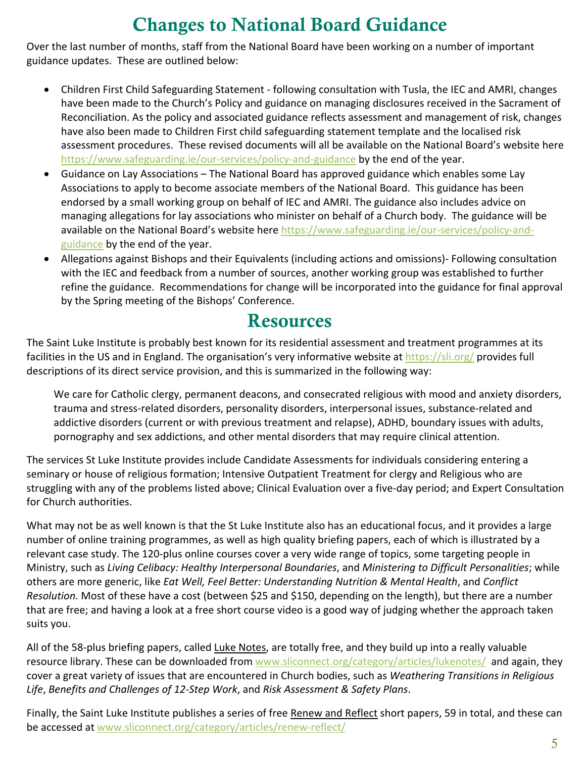# Changes to National Board Guidance

Over the last number of months, staff from the National Board have been working on a number of important guidance updates. These are outlined below:

- Children First Child Safeguarding Statement following consultation with Tusla, the IEC and AMRI, changes have been made to the Church's Policy and guidance on managing disclosures received in the Sacrament of Reconciliation. As the policy and associated guidance reflects assessment and management of risk, changes have also been made to Children First child safeguarding statement template and the localised risk assessment procedures. These revised documents will all be available on the National Board's website here https://www.safeguarding.ie/our-services/policy-and-guidance by the end of the year.
- Guidance on Lay Associations The National Board has approved guidance which enables some Lay Associations to apply to become associate members of the National Board. This guidance has been endorsed by a small working group on behalf of IEC and AMRI. The guidance also includes advice on managing allegations for lay associations who minister on behalf of a Church body. The guidance will be available on the National Board's website here https://www.safeguarding.ie/our-services/policy-andguidance by the end of the year.
- Allegations against Bishops and their Equivalents (including actions and omissions)- Following consultation with the IEC and feedback from a number of sources, another working group was established to further refine the guidance. Recommendations for change will be incorporated into the guidance for final approval by the Spring meeting of the Bishops' Conference.

## Resources

The Saint Luke Institute is probably best known for its residential assessment and treatment programmes at its facilities in the US and in England. The organisation's very informative website at https://sli.org/ provides full descriptions of its direct service provision, and this is summarized in the following way:

We care for Catholic clergy, permanent deacons, and consecrated religious with mood and anxiety disorders, trauma and stress-related disorders, personality disorders, interpersonal issues, substance-related and addictive disorders (current or with previous treatment and relapse), ADHD, boundary issues with adults, pornography and sex addictions, and other mental disorders that may require clinical attention.

The services St Luke Institute provides include Candidate Assessments for individuals considering entering a seminary or house of religious formation; Intensive Outpatient Treatment for clergy and Religious who are struggling with any of the problems listed above; Clinical Evaluation over a five-day period; and Expert Consultation for Church authorities.

What may not be as well known is that the St Luke Institute also has an educational focus, and it provides a large number of online training programmes, as well as high quality briefing papers, each of which is illustrated by a relevant case study. The 120-plus online courses cover a very wide range of topics, some targeting people in Ministry, such as *Living Celibacy: Healthy Interpersonal Boundaries*, and *Ministering to Difficult Personalities*; while others are more generic, like *Eat Well, Feel Better: Understanding Nutrition & Mental Health*, and *Conflict Resolution.* Most of these have a cost (between \$25 and \$150, depending on the length), but there are a number that are free; and having a look at a free short course video is a good way of judging whether the approach taken suits you.

All of the 58-plus briefing papers, called Luke Notes, are totally free, and they build up into a really valuable resource library. These can be downloaded from www.sliconnect.org/category/articles/lukenotes/ and again, they cover a great variety of issues that are encountered in Church bodies, such as *Weathering Transitions in Religious Life*, *Benefits and Challenges of 12-Step Work*, and *Risk Assessment & Safety Plans*.

Finally, the Saint Luke Institute publishes a series of free Renew and Reflect short papers, 59 in total, and these can be accessed at www.sliconnect.org/category/articles/renew-reflect/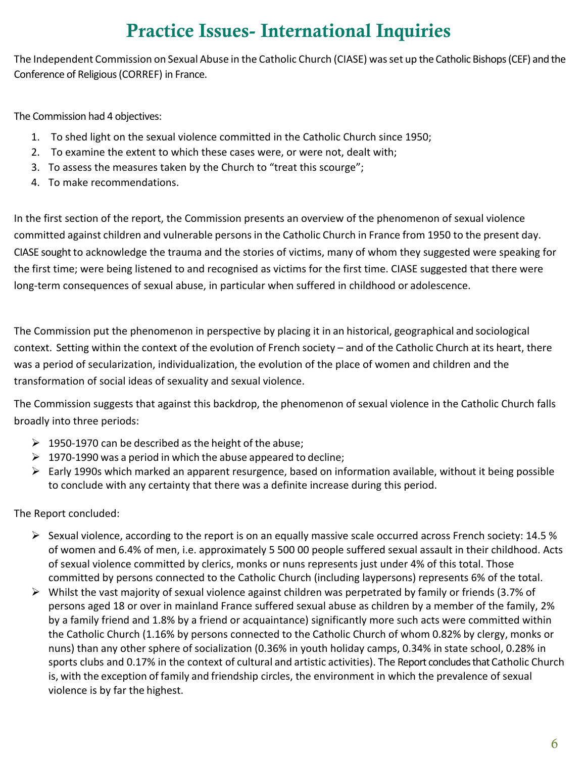# Practice Issues- International Inquiries

The Independent Commission on Sexual Abuse in the Catholic Church (CIASE) wasset up the Catholic Bishops (CEF) and the Conference of Religious (CORREF) in France.

The Commission had 4 objectives:

- 1. To shed light on the sexual violence committed in the Catholic Church since 1950;
- 2. To examine the extent to which these cases were, or were not, dealt with;
- 3. To assess the measures taken by the Church to "treat this scourge";
- 4. To make recommendations.

In the first section of the report, the Commission presents an overview of the phenomenon of sexual violence committed against children and vulnerable personsin the Catholic Church in France from 1950 to the present day. CIASE sought to acknowledge the trauma and the stories of victims, many of whom they suggested were speaking for the first time; were being listened to and recognised as victims for the first time. CIASE suggested that there were long-term consequences of sexual abuse, in particular when suffered in childhood or adolescence.

The Commission put the phenomenon in perspective by placing it in an historical, geographical and sociological context. Setting within the context of the evolution of French society – and of the Catholic Church at its heart, there was a period of secularization, individualization, the evolution of the place of women and children and the transformation of social ideas of sexuality and sexual violence.

The Commission suggests that against this backdrop, the phenomenon of sexual violence in the Catholic Church falls broadly into three periods:

- $\geq$  1950-1970 can be described as the height of the abuse;
- $\geq 1970-1990$  was a period in which the abuse appeared to decline;
- $\triangleright$  Early 1990s which marked an apparent resurgence, based on information available, without it being possible to conclude with any certainty that there was a definite increase during this period.

The Report concluded:

- $\triangleright$  Sexual violence, according to the report is on an equally massive scale occurred across French society: 14.5 % of women and 6.4% of men, i.e. approximately 5 500 00 people suffered sexual assault in their childhood. Acts of sexual violence committed by clerics, monks or nuns represents just under 4% of this total. Those committed by persons connected to the Catholic Church (including laypersons) represents 6% of the total.
- $\triangleright$  Whilst the vast majority of sexual violence against children was perpetrated by family or friends (3.7% of persons aged 18 or over in mainland France suffered sexual abuse as children by a member of the family, 2% by a family friend and 1.8% by a friend or acquaintance) significantly more such acts were committed within the Catholic Church (1.16% by persons connected to the Catholic Church of whom 0.82% by clergy, monks or nuns) than any other sphere of socialization (0.36% in youth holiday camps, 0.34% in state school, 0.28% in sports clubs and 0.17% in the context of cultural and artistic activities). The Report concludes that Catholic Church is, with the exception of family and friendship circles, the environment in which the prevalence of sexual violence is by far the highest.